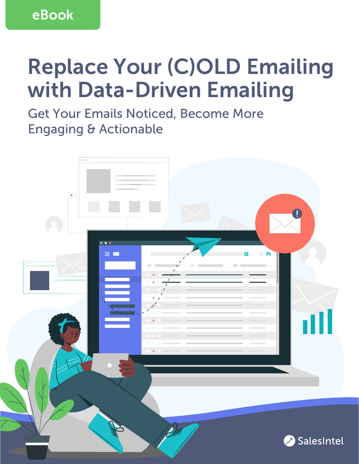eBook

# Replace Your (C)OLD Emailing with Data-Driven Emailing

Get Your Emails Noticed, Become More Engaging & Actionable

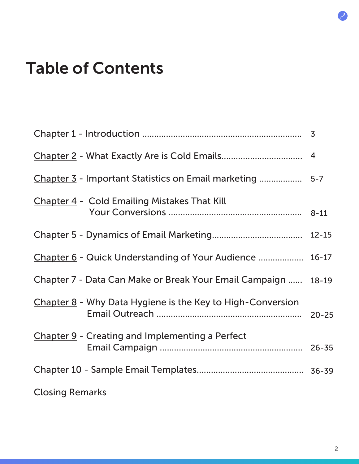## <span id="page-1-0"></span>Table of Contents

| <b>Chapter 4 - Cold Emailing Mistakes That Kill</b>           |  |
|---------------------------------------------------------------|--|
|                                                               |  |
| Chapter 6 - Quick Understanding of Your Audience  16-17       |  |
| Chapter 7 - Data Can Make or Break Your Email Campaign  18-19 |  |
| Chapter 8 - Why Data Hygiene is the Key to High-Conversion    |  |
| <b>Chapter 9 - Creating and Implementing a Perfect</b>        |  |
|                                                               |  |
| <b>Closing Remarks</b>                                        |  |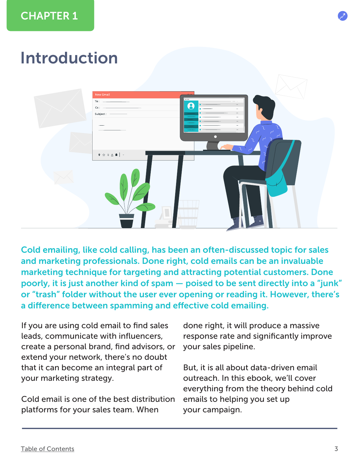## <span id="page-2-0"></span>Introduction



Cold emailing, like cold calling, has been an often-discussed topic for sales and marketing professionals. Done right, cold emails can be an invaluable marketing technique for targeting and attracting potential customers. Done poorly, it is just another kind of spam — poised to be sent directly into a "junk" or "trash" folder without the user ever opening or reading it. However, there's a difference between spamming and effective cold emailing.

If you are using cold email to find sales leads, communicate with influencers, create a personal brand, find advisors, or extend your network, there's no doubt that it can become an integral part of your marketing strategy.

Cold email is one of the best distribution platforms for your sales team. When

done right, it will produce a massive response rate and significantly improve your sales pipeline.

But, it is all about data-driven email outreach. In this ebook, we'll cover everything from the theory behind cold emails to helping you set up your campaign.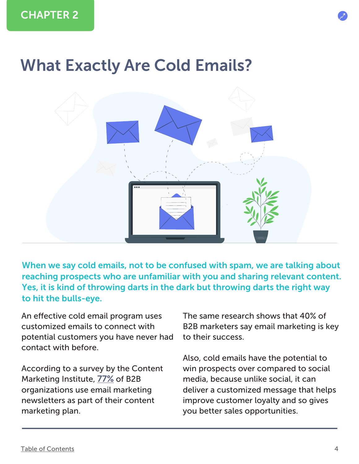<span id="page-3-0"></span>![](_page_3_Picture_1.jpeg)

![](_page_3_Picture_2.jpeg)

When we say cold emails, not to be confused with spam, we are talking about reaching prospects who are unfamiliar with you and sharing relevant content. Yes, it is kind of throwing darts in the dark but throwing darts the right way to hit the bulls-eye.

An effective cold email program uses customized emails to connect with potential customers you have never had contact with before.

According to a survey by the Content Marketing Institute, [77%](https://contentmarketinginstitute.com/wp-content/uploads/2016/09/2017_B2B_Research_FINAL.pdf) of B2B organizations use email marketing newsletters as part of their content marketing plan.

The same research shows that 40% of B2B marketers say email marketing is key to their success.

Also, cold emails have the potential to win prospects over compared to social media, because unlike social, it can deliver a customized message that helps improve customer loyalty and so gives you better sales opportunities.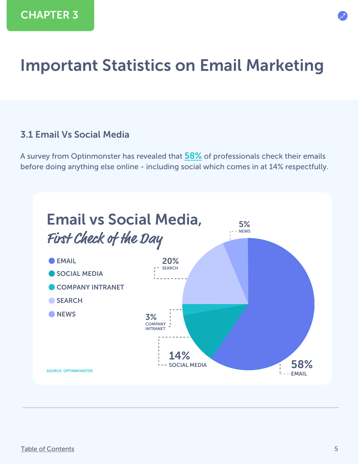## <span id="page-4-0"></span>Important Statistics on Email Marketing

#### 3.1 Email Vs Social Media

A survey from Optinmonster has revealed that [58%](https://optinmonster.com/is-email-marketing-dead-heres-what-the-statistics-show/) of professionals check their emails before doing anything else online - including social which comes in at 14% respectfully.

![](_page_4_Figure_4.jpeg)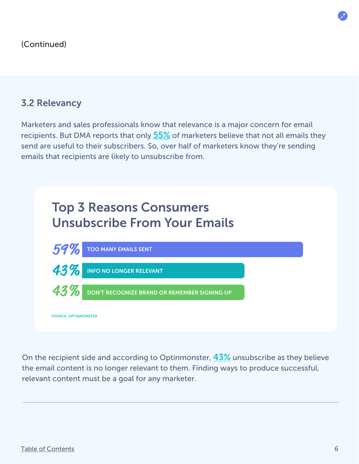#### 3.2 Relevancy

Marketers and sales professionals know that relevance is a major concern for email recipients. But DMA reports that only [55%](https://optinmonster.com/is-email-marketing-dead-heres-what-the-statistics-show/) of marketers believe that not all emails they send are useful to their subscribers. So, over half of marketers know they're sending emails that recipients are likely to unsubscribe from.

![](_page_5_Figure_3.jpeg)

On the recipient side and according to Optinmonster,  $43\%$  unsubscribe as they believe the email content is no longer relevant to them. Finding ways to produce successful, relevant content must be a goal for any marketer.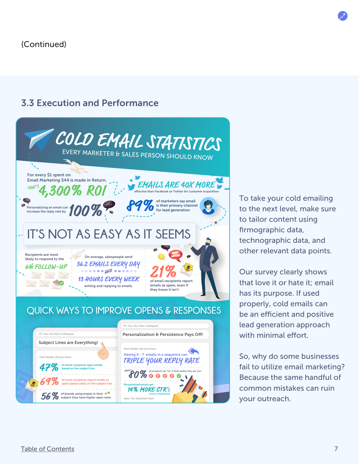#### 3.3 Execution and Performance

![](_page_6_Picture_2.jpeg)

To take your cold emailing to the next level, make sure to tailor content using firmographic data, technographic data, and other relevant data points.

Our survey clearly shows that love it or hate it; email has its purpose. If used properly, cold emails can be an efficient and positive lead generation approach with minimal effort.

So, why do some businesses fail to utilize email marketing? Because the same handful of common mistakes can ruin your outreach.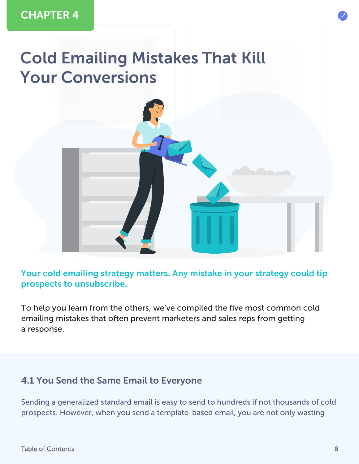## <span id="page-7-0"></span>Cold Emailing Mistakes That Kill Your Conversions

![](_page_7_Picture_2.jpeg)

To help you learn from the others, we've compiled the five most common cold emailing mistakes that often prevent marketers and sales reps from getting a response.

#### 4.1 You Send the Same Email to Everyone

Sending a generalized standard email is easy to send to hundreds if not thousands of cold prospects. However, when you send a template-based email, you are not only wasting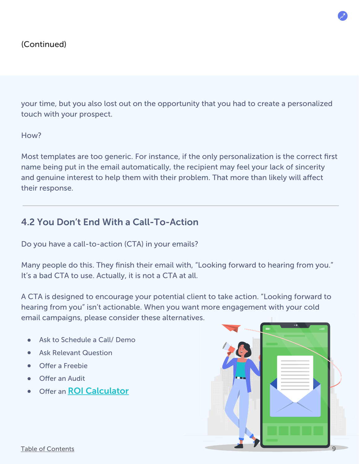your time, but you also lost out on the opportunity that you had to create a personalized touch with your prospect.

#### How?

Most templates are too generic. For instance, if the only personalization is the correct first name being put in the email automatically, the recipient may feel your lack of sincerity and genuine interest to help them with their problem. That more than likely will affect their response.

#### 4.2 You Don't End With a Call-To-Action

Do you have a call-to-action (CTA) in your emails?

Many people do this. They finish their email with, "Looking forward to hearing from you." It's a bad CTA to use. Actually, it is not a CTA at all.

A CTA is designed to encourage your potential client to take action. "Looking forward to hearing from you" isn't actionable. When you want more engagement with your cold email campaigns, please consider these alternatives.

- Ask to Schedule a Call/ Demo
- Ask Relevant Question
- Offer a Freebie
- Offer an Audit
- Offer an **[ROI Calculator](https://salesintel.io/roi-calculator/)**

![](_page_8_Picture_13.jpeg)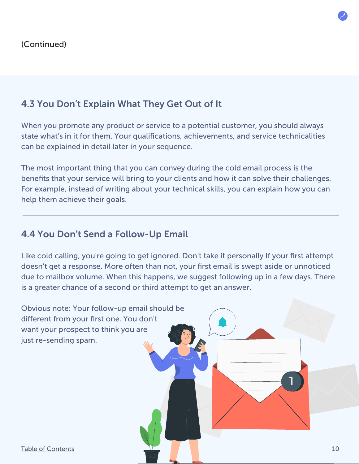### 4.3 You Don't Explain What They Get Out of It

When you promote any product or service to a potential customer, you should always state what's in it for them. Your qualifications, achievements, and service technicalities can be explained in detail later in your sequence.

The most important thing that you can convey during the cold email process is the benefits that your service will bring to your clients and how it can solve their challenges. For example, instead of writing about your technical skills, you can explain how you can help them achieve their goals.

### 4.4 You Don't Send a Follow-Up Email

Like cold calling, you're going to get ignored. Don't take it personally If your first attempt doesn't get a response. More often than not, your first email is swept aside or unnoticed due to mailbox volume. When this happens, we suggest following up in a few days. There is a greater chance of a second or third attempt to get an answer.

![](_page_9_Figure_6.jpeg)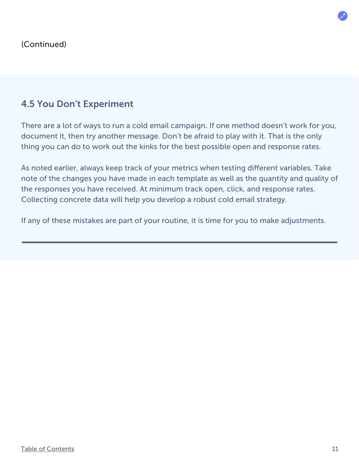### 4.5 You Don't Experiment

There are a lot of ways to run a cold email campaign. If one method doesn't work for you, document it, then try another message. Don't be afraid to play with it. That is the only thing you can do to work out the kinks for the best possible open and response rates.

As noted earlier, always keep track of your metrics when testing different variables. Take note of the changes you have made in each template as well as the quantity and quality of the responses you have received. At minimum track open, click, and response rates. Collecting concrete data will help you develop a robust cold email strategy.

If any of these mistakes are part of your routine, it is time for you to make adjustments.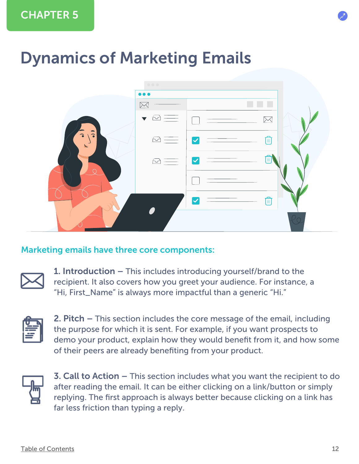## <span id="page-11-0"></span>Dynamics of Marketing Emails

![](_page_11_Picture_2.jpeg)

#### Marketing emails have three core components:

1. Introduction – This includes introducing yourself/brand to the recipient. It also covers how you greet your audience. For instance, a "Hi, First\_Name" is always more impactful than a generic "Hi."

2. Pitch – This section includes the core message of the email, including the purpose for which it is sent. For example, if you want prospects to demo your product, explain how they would benefit from it, and how some of their peers are already benefiting from your product.

![](_page_11_Picture_8.jpeg)

3. Call to Action – This section includes what you want the recipient to do after reading the email. It can be either clicking on a link/button or simply replying. The first approach is always better because clicking on a link has far less friction than typing a reply.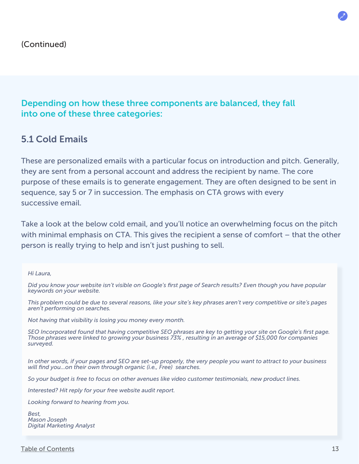#### Depending on how these three components are balanced, they fall into one of these three categories:

#### 5.1 Cold Emails

These are personalized emails with a particular focus on introduction and pitch. Generally, they are sent from a personal account and address the recipient by name. The core purpose of these emails is to generate engagement. They are often designed to be sent in sequence, say 5 or 7 in succession. The emphasis on CTA grows with every successive email.

Take a look at the below cold email, and you'll notice an overwhelming focus on the pitch with minimal emphasis on CTA. This gives the recipient a sense of comfort – that the other person is really trying to help and isn't just pushing to sell.

*Did you know your website isn't visible on Google's first page of Search results? Even though you have popular keywords on your website.*

*This problem could be due to several reasons, like your site's key phrases aren't very competitive or site's pages aren't performing on searches.*

*Not having that visibility is losing you money every month.*

Hi Laura,<br>Did you know your website isn't visible on Google's first page of Search results? Even though you have popular<br>Did you know your website.<br>This problem could be due to several reasons, like your site's key phrases *SEO Incorporated found that having competitive SEO phrases are key to getting your site on Google's first page. Those phrases were linked to growing your business 73% , resulting in an average of \$15,000 for companies surveyed.* 

*In other words, if your pages and SEO are set-up properly, the very people you want to attract to your business will find you...on their own through organic (i.e., Free) searches.*

*So your budget is free to focus on other avenues like video customer testimonials, new product lines.*

*Interested? Hit reply for your free website audit report.*

*Looking forward to hearing from you.*

*Best, Mason Joseph Digital Marketing Analyst*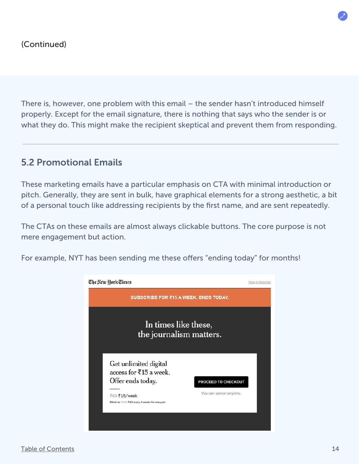There is, however, one problem with this email – the sender hasn't introduced himself properly. Except for the email signature, there is nothing that says who the sender is or what they do. This might make the recipient skeptical and prevent them from responding.

### 5.2 Promotional Emails

These marketing emails have a particular emphasis on CTA with minimal introduction or pitch. Generally, they are sent in bulk, have graphical elements for a strong aesthetic, a bit of a personal touch like addressing recipients by the first name, and are sent repeatedly.

The CTAs on these emails are almost always clickable buttons. The core purpose is not mere engagement but action.

For example, NYT has been sending me these offers "ending today" for months!

![](_page_13_Picture_6.jpeg)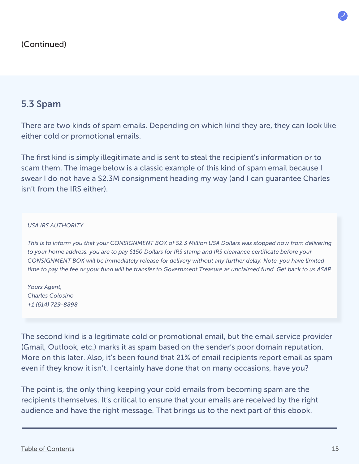#### 5.3 Spam

There are two kinds of spam emails. Depending on which kind they are, they can look like either cold or promotional emails.

The first kind is simply illegitimate and is sent to steal the recipient's information or to scam them. The image below is a classic example of this kind of spam email because I swear I do not have a \$2.3M consignment heading my way (and I can guarantee Charles isn't from the IRS either).

#### *USA IRS AUTHORITY*

*This is to inform you that your CONSIGNMENT BOX of \$2.3 Million USA Dollars was stopped now from delivering to your home address, you are to pay \$150 Dollars for IRS stamp and IRS clearance certificate before your CONSIGNMENT BOX will be immediately release for delivery without any further delay. Note, you have limited time to pay the fee or your fund will be transfer to Government Treasure as unclaimed fund. Get back to us ASAP.*

*Yours Agent, Charles Colosino +1 (614) 729-8898*

The second kind is a legitimate cold or promotional email, but the email service provider (Gmail, Outlook, etc.) marks it as spam based on the sender's poor domain reputation. More on this later. Also, it's been found that 21% of email recipients report email as spam even if they know it isn't. I certainly have done that on many occasions, have you?

The point is, the only thing keeping your cold emails from becoming spam are the recipients themselves. It's critical to ensure that your emails are received by the right audience and have the right message. That brings us to the next part of this ebook.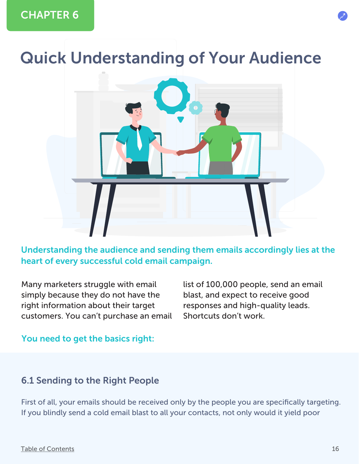## <span id="page-15-0"></span>Quick Understanding of Your Audience

![](_page_15_Picture_2.jpeg)

Understanding the audience and sending them emails accordingly lies at the heart of every successful cold email campaign.

Many marketers struggle with email simply because they do not have the right information about their target customers. You can't purchase an email list of 100,000 people, send an email blast, and expect to receive good responses and high-quality leads. Shortcuts don't work.

#### You need to get the basics right:

#### 6.1 Sending to the Right People

First of all, your emails should be received only by the people you are specifically targeting. If you blindly send a cold email blast to all your contacts, not only would it yield poor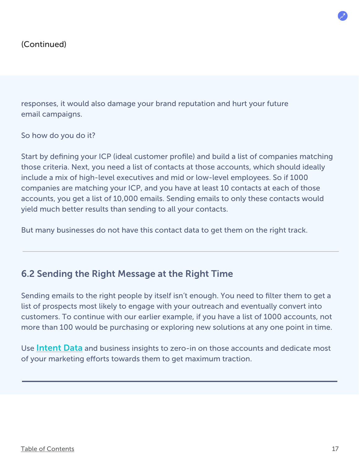responses, it would also damage your brand reputation and hurt your future email campaigns.

So how do you do it?

Start by defining your ICP (ideal customer profile) and build a list of companies matching those criteria. Next, you need a list of contacts at those accounts, which should ideally include a mix of high-level executives and mid or low-level employees. So if 1000 companies are matching your ICP, and you have at least 10 contacts at each of those accounts, you get a list of 10,000 emails. Sending emails to only these contacts would yield much better results than sending to all your contacts.

But many businesses do not have this contact data to get them on the right track.

#### 6.2 Sending the Right Message at the Right Time

Sending emails to the right people by itself isn't enough. You need to filter them to get a list of prospects most likely to engage with your outreach and eventually convert into customers. To continue with our earlier example, if you have a list of 1000 accounts, not more than 100 would be purchasing or exploring new solutions at any one point in time.

Use [Intent Data](https://salesintel.io/blog/what-is-intent-data-how-to-use-it-for-your-business/) and business insights to zero-in on those accounts and dedicate most of your marketing efforts towards them to get maximum traction.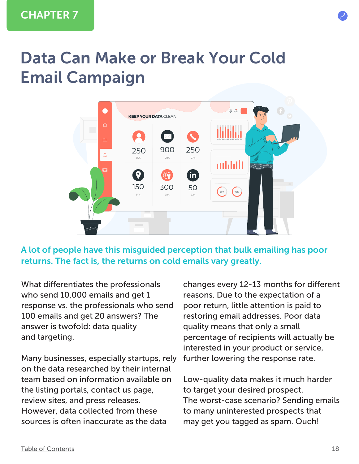## <span id="page-17-0"></span>Data Can Make or Break Your Cold Email Campaign

![](_page_17_Figure_2.jpeg)

A lot of people have this misguided perception that bulk emailing has poor returns. The fact is, the returns on cold emails vary greatly.

What differentiates the professionals who send 10,000 emails and get 1 response vs. the professionals who send 100 emails and get 20 answers? The answer is twofold: data quality and targeting.

Many businesses, especially startups, rely on the data researched by their internal team based on information available on the listing portals, contact us page, review sites, and press releases. However, data collected from these sources is often inaccurate as the data

changes every 12-13 months for different reasons. Due to the expectation of a poor return, little attention is paid to restoring email addresses. Poor data quality means that only a small percentage of recipients will actually be interested in your product or service, further lowering the response rate.

Low-quality data makes it much harder to target your desired prospect. The worst-case scenario? Sending emails to many uninterested prospects that may get you tagged as spam. Ouch!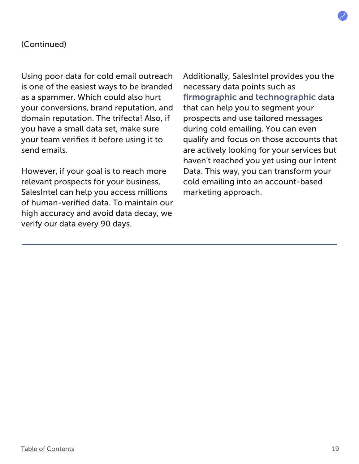#### (Continued)

Using poor data for cold email outreach is one of the easiest ways to be branded as a spammer. Which could also hurt your conversions, brand reputation, and domain reputation. The trifecta! Also, if you have a small data set, make sure your team verifies it before using it to send emails.

However, if your goal is to reach more relevant prospects for your business, SalesIntel can help you access millions of human-verified data. To maintain our high accuracy and avoid data decay, we verify our data every 90 days.

Additionally, SalesIntel provides you the necessary data points such as [firmographic](https://salesintel.io/blog/firmographic-data/) and [technographic](https://salesintel.io/blog/technographic-data/) data that can help you to segment your prospects and use tailored messages during cold emailing. You can even qualify and focus on those accounts that are actively looking for your services but haven't reached you yet using our Intent Data. This way, you can transform your cold emailing into an account-based marketing approach.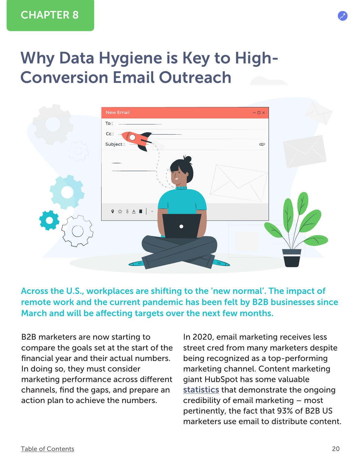## <span id="page-19-0"></span>Why Data Hygiene is Key to High-Conversion Email Outreach

![](_page_19_Figure_2.jpeg)

Across the U.S., workplaces are shifting to the 'new normal'. The impact of remote work and the current pandemic has been felt by B2B businesses since March and will be affecting targets over the next few months.

B2B marketers are now starting to compare the goals set at the start of the financial year and their actual numbers. In doing so, they must consider marketing performance across different channels, find the gaps, and prepare an action plan to achieve the numbers.

In 2020, email marketing receives less street cred from many marketers despite being recognized as a top-performing marketing channel. Content marketing giant HubSpot has some valuable [statistics](https://blog.hubspot.com/marketing/email-marketing-stats?__hstc=238575839.6528329a71f8b6b305489a4fd1a2e576.1581879486653.1600368720146.1600374056010.424&__hssc=238575839.4.1600374056010&__hsfp=4253523528) that demonstrate the ongoing credibility of email marketing – most pertinently, the fact that 93% of B2B US marketers use email to distribute content.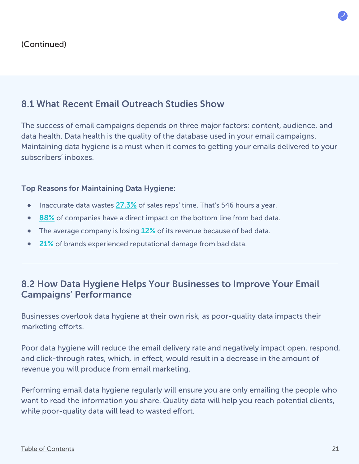### 8.1 What Recent Email Outreach Studies Show

The success of email campaigns depends on three major factors: content, audience, and data health. Data health is the quality of the database used in your email campaigns. Maintaining data hygiene is a must when it comes to getting your emails delivered to your subscribers' inboxes.

#### Top Reasons for Maintaining Data Hygiene:

- Inaccurate data wastes [27.3%](https://salesintel.io/blog/how-bad-data-hurts-b2b-companies/) of sales reps' time. That's 546 hours a year.  $\bullet$
- [88%](https://salesintel.io/blog/how-bad-data-hurts-b2b-companies/) of companies have a direct impact on the bottom line from bad data.  $\bullet$
- $\bullet$ The average company is losing [12%](https://salesintel.io/blog/how-bad-data-hurts-b2b-companies/) of its revenue because of bad data.
- [21%](https://salesintel.io/blog/how-bad-data-hurts-b2b-companies/) of brands experienced reputational damage from bad data.  $\bullet$

#### 8.2 How Data Hygiene Helps Your Businesses to Improve Your Email Campaigns' Performance

Businesses overlook data hygiene at their own risk, as poor-quality data impacts their marketing efforts.

Poor data hygiene will reduce the email delivery rate and negatively impact open, respond, and click-through rates, which, in effect, would result in a decrease in the amount of revenue you will produce from email marketing.

Performing email data hygiene regularly will ensure you are only emailing the people who want to read the information you share. Quality data will help you reach potential clients, while poor-quality data will lead to wasted effort.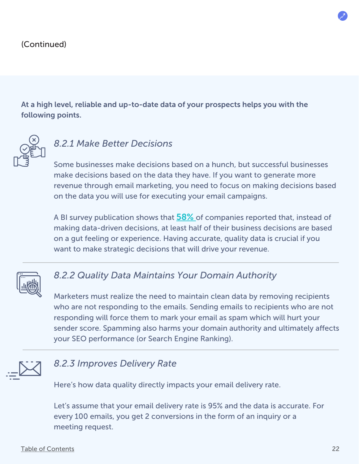At a high level, reliable and up-to-date data of your prospects helps you with the following points.

![](_page_21_Picture_2.jpeg)

### *8.2.1 Make Better Decisions*

Some businesses make decisions based on a hunch, but successful businesses make decisions based on the data they have. If you want to generate more revenue through email marketing, you need to focus on making decisions based on the data you will use for executing your email campaigns.

A BI survey publication shows that **58%** of companies reported that, instead of making data-driven decisions, at least half of their business decisions are based on a gut feeling or experience. Having accurate, quality data is crucial if you want to make strategic decisions that will drive your revenue.

![](_page_21_Picture_6.jpeg)

### *8.2.2 Quality Data Maintains Your Domain Authority*

Marketers must realize the need to maintain clean data by removing recipients who are not responding to the emails. Sending emails to recipients who are not responding will force them to mark your email as spam which will hurt your sender score. Spamming also harms your domain authority and ultimately affects your SEO performance (or Search Engine Ranking).

![](_page_21_Picture_9.jpeg)

#### *8.2.3 Improves Delivery Rate*

Here's how data quality directly impacts your email delivery rate.

Let's assume that your email delivery rate is 95% and the data is accurate. For every 100 emails, you get 2 conversions in the form of an inquiry or a meeting request.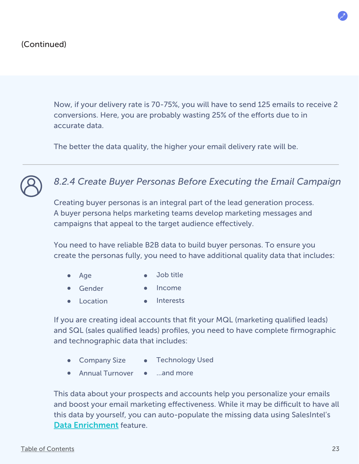Now, if your delivery rate is 70-75%, you will have to send 125 emails to receive 2 conversions. Here, you are probably wasting 25% of the efforts due to in accurate data.

The better the data quality, the higher your email delivery rate will be.

![](_page_22_Picture_3.jpeg)

## *8.2.4 Create Buyer Personas Before Executing the Email Campaign*

Creating buyer personas is an integral part of the lead generation process. A buyer persona helps marketing teams develop marketing messages and campaigns that appeal to the target audience effectively.

You need to have reliable B2B data to build buyer personas. To ensure you create the personas fully, you need to have additional quality data that includes:

- Job title Age  $\bullet$
- Gender • Income
- Location • Interests

If you are creating ideal accounts that fit your MQL (marketing qualified leads) and SQL (sales qualified leads) profiles, you need to have complete firmographic and technographic data that includes:

- Company Size Technology Used
- Annual Turnover …and more

This data about your prospects and accounts help you personalize your emails and boost your email marketing effectiveness. While it may be difficult to have all this data by yourself, you can auto-populate the missing data using SalesIntel's [Data Enrichment](https://salesintel.io/blog/data-enrichment-guide/) feature.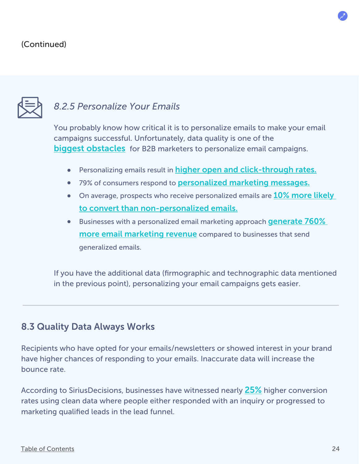#### (Continued)

![](_page_23_Picture_1.jpeg)

## *8.2.5 Personalize Your Emails*

You probably know how critical it is to personalize emails to make your email campaigns successful. Unfortunately, data quality is one of the [biggest obstacles](https://www.marketingcharts.com/customer-centric/personalization-customer-centric-81555/attachment/monetate-marketers-biggest-personalization-challenge-dec2017) for B2B marketers to personalize email campaigns.

- Personalizing emails result in [higher open and click-through rates.](https://www.activetrail.com/marketing_blog/marketing_automation_articles/13-incredibly-surprising-email-personalization-statistics/)
- 79% of consumers respond to **[personalized marketing messages.](https://www.activetrail.com/marketing_blog/marketing_automation_articles/13-incredibly-surprising-email-personalization-statistics/)**
- On average, prospects who receive personalized emails are **10% more likely** [to convert than non-personalized emails.](https://www.campaignmonitor.com/blog/email-marketing/2017/08/15-email-personalization-stats-might-surprise-you/)
- **•** Businesses with a personalized email marketing approach **generate 760%** [more email marketing revenue](https://www.campaignmonitor.com/resources/guides/email-marketing-new-rules/) compared to businesses that send generalized emails.

If you have the additional data (firmographic and technographic data mentioned in the previous point), personalizing your email campaigns gets easier.

#### 8.3 Quality Data Always Works

Recipients who have opted for your emails/newsletters or showed interest in your brand have higher chances of responding to your emails. Inaccurate data will increase the bounce rate.

According to SiriusDecisions, businesses have witnessed nearly [25%](https://www.prweb.com/releases/2008/12/prweb1753164.htm) higher conversion rates using clean data where people either responded with an inquiry or progressed to marketing qualified leads in the lead funnel.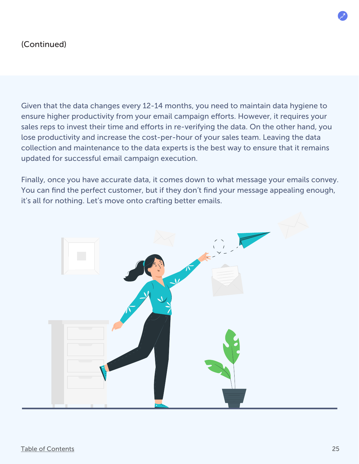#### (Continued)

Given that the data changes every 12-14 months, you need to maintain data hygiene to ensure higher productivity from your email campaign efforts. However, it requires your sales reps to invest their time and efforts in re-verifying the data. On the other hand, you lose productivity and increase the cost-per-hour of your sales team. Leaving the data collection and maintenance to the data experts is the best way to ensure that it remains updated for successful email campaign execution.

Finally, once you have accurate data, it comes down to what message your emails convey. You can find the perfect customer, but if they don't find your message appealing enough, it's all for nothing. Let's move onto crafting better emails.

![](_page_24_Picture_3.jpeg)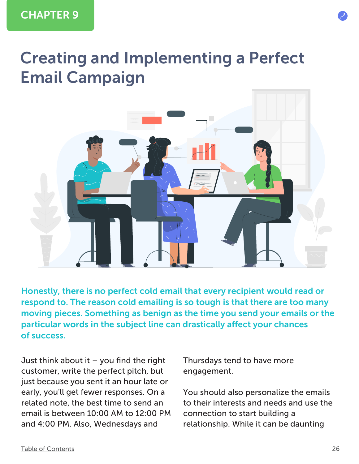## <span id="page-25-0"></span>Creating and Implementing a Perfect Email Campaign

![](_page_25_Picture_2.jpeg)

Honestly, there is no perfect cold email that every recipient would read or respond to. The reason cold emailing is so tough is that there are too many moving pieces. Something as benign as the time you send your emails or the particular words in the subject line can drastically affect your chances of success.

Just think about it  $-$  you find the right customer, write the perfect pitch, but just because you sent it an hour late or early, you'll get fewer responses. On a related note, the best time to send an email is between 10:00 AM to 12:00 PM and 4:00 PM. Also, Wednesdays and

Thursdays tend to have more engagement.

You should also personalize the emails to their interests and needs and use the connection to start building a relationship. While it can be daunting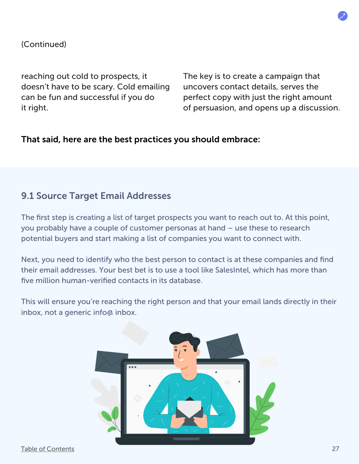![](_page_26_Picture_0.jpeg)

#### (Continued)

reaching out cold to prospects, it doesn't have to be scary. Cold emailing can be fun and successful if you do it right.

The key is to create a campaign that uncovers contact details, serves the perfect copy with just the right amount of persuasion, and opens up a discussion.

#### That said, here are the best practices you should embrace:

#### 9.1 Source Target Email Addresses

The first step is creating a list of target prospects you want to reach out to. At this point, you probably have a couple of customer personas at hand – use these to research potential buyers and start making a list of companies you want to connect with.

Next, you need to identify who the best person to contact is at these companies and find their email addresses. Your best bet is to use a tool like SalesIntel, which has more than five million human-verified contacts in its database.

This will ensure you're reaching the right person and that your email lands directly in their inbox, not a generic info@ inbox.

![](_page_26_Picture_9.jpeg)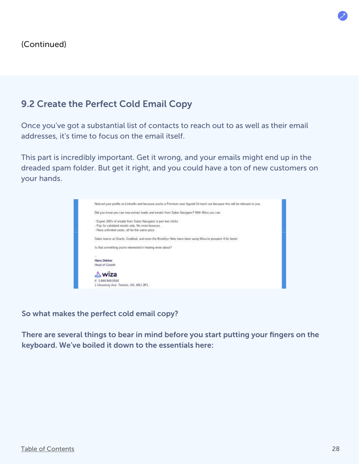### 9.2 Create the Perfect Cold Email Copy

Once you've got a substantial list of contacts to reach out to as well as their email addresses, it's time to focus on the email itself.

This part is incredibly important. Get it wrong, and your emails might end up in the dreaded spam folder. But get it right, and you could have a ton of new customers on your hands.

![](_page_27_Picture_4.jpeg)

So what makes the perfect cold email copy?

There are several things to bear in mind before you start putting your fingers on the keyboard. We've boiled it down to the essentials here: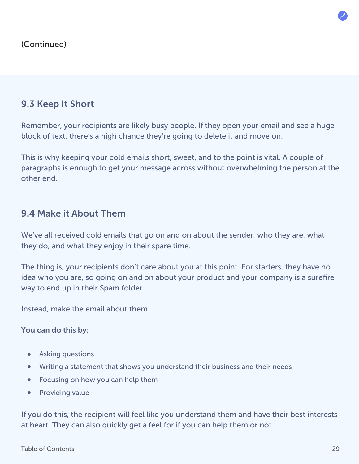### 9.3 Keep It Short

Remember, your recipients are likely busy people. If they open your email and see a huge block of text, there's a high chance they're going to delete it and move on.

This is why keeping your cold emails short, sweet, and to the point is vital. A couple of paragraphs is enough to get your message across without overwhelming the person at the other end.

#### 9.4 Make it About Them

We've all received cold emails that go on and on about the sender, who they are, what they do, and what they enjoy in their spare time.

The thing is, your recipients don't care about you at this point. For starters, they have no idea who you are, so going on and on about your product and your company is a surefire way to end up in their Spam folder.

Instead, make the email about them.

You can do this by:

- Asking questions  $\bullet$
- Writing a statement that shows you understand their business and their needs
- Focusing on how you can help them  $\bullet$
- $\bullet$ Providing value

If you do this, the recipient will feel like you understand them and have their best interests at heart. They can also quickly get a feel for if you can help them or not.

#### [Table of Contents](#page-1-0)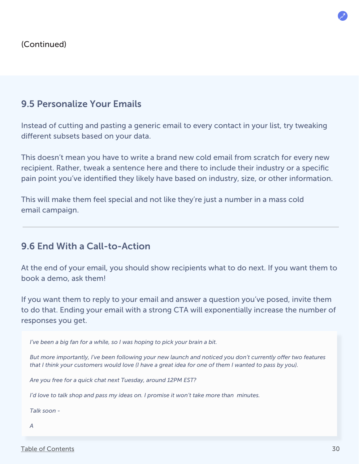#### 9.5 Personalize Your Emails

Instead of cutting and pasting a generic email to every contact in your list, try tweaking different subsets based on your data.

This doesn't mean you have to write a brand new cold email from scratch for every new recipient. Rather, tweak a sentence here and there to include their industry or a specific pain point you've identified they likely have based on industry, size, or other information.

This will make them feel special and not like they're just a number in a mass cold email campaign.

#### 9.6 End With a Call-to-Action

At the end of your email, you should show recipients what to do next. If you want them to book a demo, ask them!

If you want them to reply to your email and answer a question you've posed, invite them to do that. Ending your email with a strong CTA will exponentially increase the number of responses you get.

*I've been a big fan for a while, so I was hoping to pick your brain a bit.*

But more importantly, I've been following your new launch and noticed you don't currently offer two features *that I think your customers would love (I have a great idea for one of them I wanted to pass by you).*

*Are you free for a quick chat next Tuesday, around 12PM EST?*

*I'd love to talk shop and pass my ideas on. I promise it won't take more than minutes.*

*Talk soon -*

*A*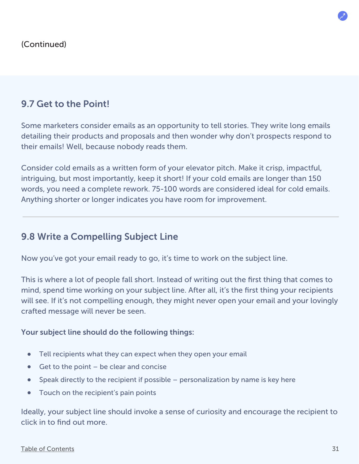### 9.7 Get to the Point!

Some marketers consider emails as an opportunity to tell stories. They write long emails detailing their products and proposals and then wonder why don't prospects respond to their emails! Well, because nobody reads them.

Consider cold emails as a written form of your elevator pitch. Make it crisp, impactful, intriguing, but most importantly, keep it short! If your cold emails are longer than 150 words, you need a complete rework. 75-100 words are considered ideal for cold emails. Anything shorter or longer indicates you have room for improvement.

#### 9.8 Write a Compelling Subject Line

Now you've got your email ready to go, it's time to work on the subject line.

This is where a lot of people fall short. Instead of writing out the first thing that comes to mind, spend time working on your subject line. After all, it's the first thing your recipients will see. If it's not compelling enough, they might never open your email and your lovingly crafted message will never be seen.

#### Your subject line should do the following things:

- Tell recipients what they can expect when they open your email  $\bullet$
- Get to the point be clear and concise
- Speak directly to the recipient if possible personalization by name is key here  $\bullet$
- $\bullet$ Touch on the recipient's pain points

Ideally, your subject line should invoke a sense of curiosity and encourage the recipient to click in to find out more.

#### [Table of Contents](#page-1-0)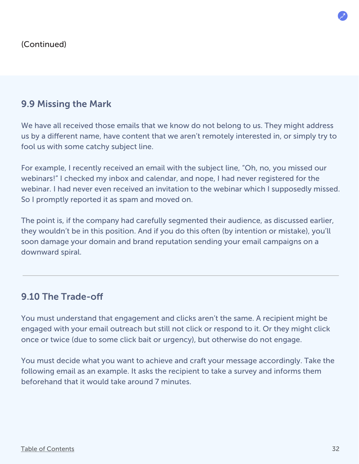#### 9.9 Missing the Mark

We have all received those emails that we know do not belong to us. They might address us by a different name, have content that we aren't remotely interested in, or simply try to fool us with some catchy subject line.

For example, I recently received an email with the subject line, "Oh, no, you missed our webinars!" I checked my inbox and calendar, and nope, I had never registered for the webinar. I had never even received an invitation to the webinar which I supposedly missed. So I promptly reported it as spam and moved on.

The point is, if the company had carefully segmented their audience, as discussed earlier, they wouldn't be in this position. And if you do this often (by intention or mistake), you'll soon damage your domain and brand reputation sending your email campaigns on a downward spiral.

#### 9.10 The Trade-o

You must understand that engagement and clicks aren't the same. A recipient might be engaged with your email outreach but still not click or respond to it. Or they might click once or twice (due to some click bait or urgency), but otherwise do not engage.

You must decide what you want to achieve and craft your message accordingly. Take the following email as an example. It asks the recipient to take a survey and informs them beforehand that it would take around 7 minutes.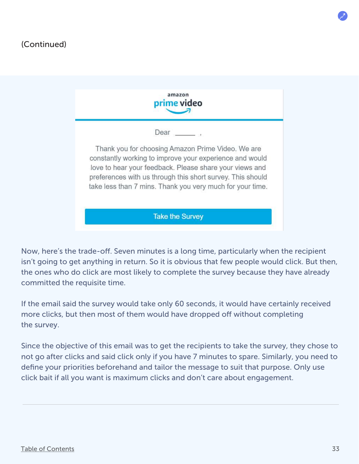#### (Continued)

| Dear                                                                                                                    |
|-------------------------------------------------------------------------------------------------------------------------|
| Thank you for choosing Amazon Prime Video. We are                                                                       |
| constantly working to improve your experience and would                                                                 |
| love to hear your feedback. Please share your views and                                                                 |
| preferences with us through this short survey. This should<br>take less than 7 mins. Thank you very much for your time. |

Now, here's the trade-off. Seven minutes is a long time, particularly when the recipient isn't going to get anything in return. So it is obvious that few people would click. But then, the ones who do click are most likely to complete the survey because they have already committed the requisite time.

If the email said the survey would take only 60 seconds, it would have certainly received more clicks, but then most of them would have dropped off without completing the survey.

Since the objective of this email was to get the recipients to take the survey, they chose to not go after clicks and said click only if you have 7 minutes to spare. Similarly, you need to define your priorities beforehand and tailor the message to suit that purpose. Only use click bait if all you want is maximum clicks and don't care about engagement.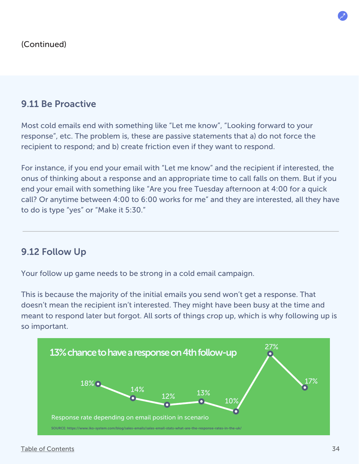#### 9.11 Be Proactive

Most cold emails end with something like "Let me know", "Looking forward to your response", etc. The problem is, these are passive statements that a) do not force the recipient to respond; and b) create friction even if they want to respond.

For instance, if you end your email with "Let me know" and the recipient if interested, the onus of thinking about a response and an appropriate time to call falls on them. But if you end your email with something like "Are you free Tuesday afternoon at 4:00 for a quick call? Or anytime between 4:00 to 6:00 works for me" and they are interested, all they have to do is type "yes" or "Make it 5:30."

#### 9.12 Follow Up

Your follow up game needs to be strong in a cold email campaign.

This is because the majority of the initial emails you send won't get a response. That doesn't mean the recipient isn't interested. They might have been busy at the time and meant to respond later but forgot. All sorts of things crop up, which is why following up is so important.

![](_page_33_Figure_7.jpeg)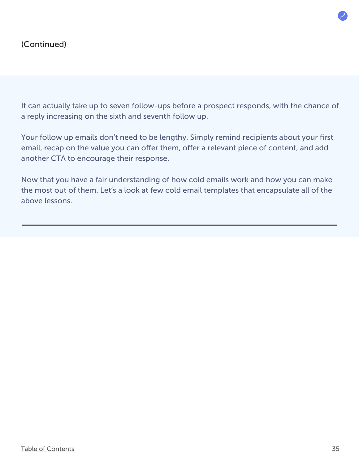It can actually take up to seven follow-ups before a prospect responds, with the chance of a reply increasing on the sixth and seventh follow up.

Your follow up emails don't need to be lengthy. Simply remind recipients about your first email, recap on the value you can offer them, offer a relevant piece of content, and add another CTA to encourage their response.

Now that you have a fair understanding of how cold emails work and how you can make the most out of them. Let's a look at few cold email templates that encapsulate all of the above lessons.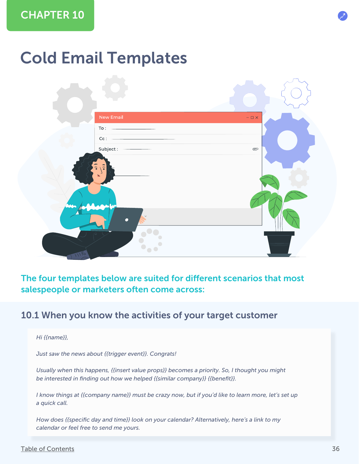## <span id="page-35-0"></span>Cold Email Templates

![](_page_35_Figure_2.jpeg)

#### The four templates below are suited for different scenarios that most salespeople or marketers often come across:

#### 10.1 When you know the activities of your target customer

#### *Hi {{name}},*

*Just saw the news about {{trigger event}}. Congrats!*

*Usually when this happens, {{insert value props}} becomes a priority. So, I thought you might be interested in finding out how we helped {{similar company}} {{benefit}}.*

*I know things at {{company name}} must be crazy now, but if you'd like to learn more, let's set up a quick call.*

*How does {{specific day and time}} look on your calendar? Alternatively, here's a link to my calendar or feel free to send me yours.*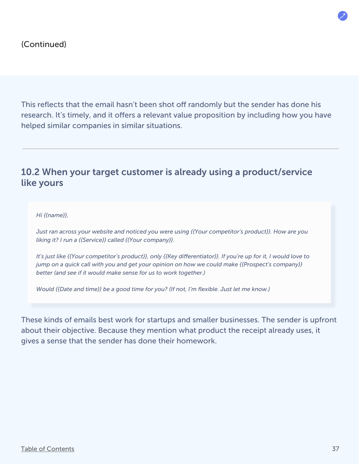This reflects that the email hasn't been shot off randomly but the sender has done his research. It's timely, and it offers a relevant value proposition by including how you have helped similar companies in similar situations.

#### 10.2 When your target customer is already using a product/service like yours

*Hi {{name}},* 

*Just ran across your website and noticed you were using {{Your competitor's product}}. How are you liking it? I run a {{Service}} called {{Your company}}.*

*It's just like {{Your competitor's product}}, only {{Key differentiator}}. If you're up for it, I would love to jump on a quick call with you and get your opinion on how we could make {{Prospect's company}} better (and see if it would make sense for us to work together.)*

*Would {{Date and time}} be a good time for you? (If not, I'm flexible. Just let me know.)*

These kinds of emails best work for startups and smaller businesses. The sender is upfront about their objective. Because they mention what product the receipt already uses, it gives a sense that the sender has done their homework.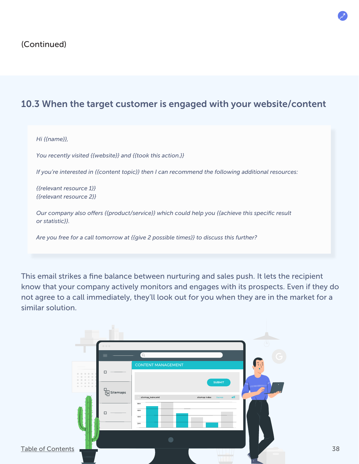### 10.3 When the target customer is engaged with your website/content

#### *Hi {{name}},*

*You recently visited {{website}} and {{took this action.}}*

*If you're interested in {{content topic}} then I can recommend the following additional resources:*

*{{relevant resource 1}} {{relevant resource 2}}*

*Our company also offers {{product/service}} which could help you {{achieve this specific result or statistic}}.*

*Are you free for a call tomorrow at {{give 2 possible times}} to discuss this further?*

This email strikes a fine balance between nurturing and sales push. It lets the recipient know that your company actively monitors and engages with its prospects. Even if they do not agree to a call immediately, they'll look out for you when they are in the market for a similar solution.

![](_page_37_Figure_9.jpeg)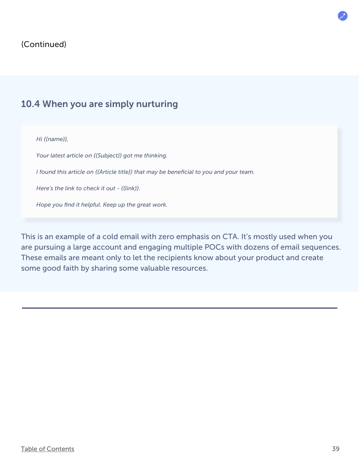#### (Continued)

#### 10.4 When you are simply nurturing

*Hi {{name}},* 

*Your latest article on {{Subject}} got me thinking.*

*I found this article on {{Article title}} that may be beneficial to you and your team.*

*Here's the link to check it out - {{link}}.*

*Hope you find it helpful. Keep up the great work.*

This is an example of a cold email with zero emphasis on CTA. It's mostly used when you are pursuing a large account and engaging multiple POCs with dozens of email sequences. These emails are meant only to let the recipients know about your product and create some good faith by sharing some valuable resources.